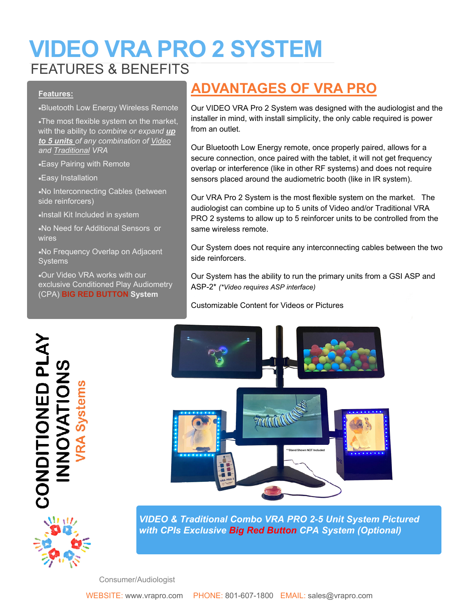## **VIDEO VRA PRO 2 SYSTEM**  FEATURES & BENEFITS

#### **Features:**

Bluetooth Low Energy Wireless Remote

The most flexible system on the market, with the ability to *combine or expand up to 5 units of any combination of Video and Traditional VRA* 

Easy Pairing with Remote

Easy Installation

No Interconnecting Cables (between side reinforcers)

Install Kit Included in system

No Need for Additional Sensors or wires

No Frequency Overlap on Adjacent **Systems** 

Our Video VRA works with our exclusive Conditioned Play Audiometry (CPA) **BIG RED BUTTON System**

### **ADVANTAGES OF VRA PRO**

Our VIDEO VRA Pro 2 System was designed with the audiologist and the installer in mind, with install simplicity, the only cable required is power from an outlet.

Our Bluetooth Low Energy remote, once properly paired, allows for a secure connection, once paired with the tablet, it will not get frequency overlap or interference (like in other RF systems) and does not require sensors placed around the audiometric booth (like in IR system).

Our VRA Pro 2 System is the most flexible system on the market. The audiologist can combine up to 5 units of Video and/or Traditional VRA PRO 2 systems to allow up to 5 reinforcer units to be controlled from the same wireless remote.

Our System does not require any interconnecting cables between the two side reinforcers.

Our System has the ability to run the primary units from a GSI ASP and ASP-2\* *(\*Video requires ASP interface)*

Customizable Content for Videos or Pictures





*VIDEO & Traditional Combo VRA PRO 2-5 Unit System Pictured with CPIs Exclusive Big Red Button CPA System (Optional)*

Consumer/Audiologist